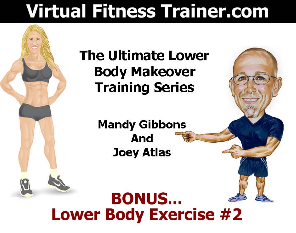# **Virtual Fitness Trainer.com**

### **The Ultimate Lower Body Makeover Training Series**

**Mandy Gibbons** And **Joey Atlas** 

## **BONUS... Lower Body Exercise #2**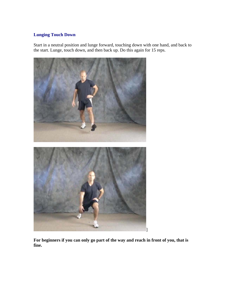### **Lunging Touch Down**

Start in a neutral position and lunge forward, touching down with one hand, and back to the start. Lunge, touch down, and then back up. Do this again for 15 reps.



**For beginners if you can only go part of the way and reach in front of you, that is fine.**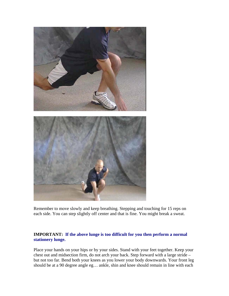

Remember to move slowly and keep breathing. Stepping and touching for 15 reps on each side. You can step slightly off center and that is fine. You might break a sweat.

#### **IMPORTANT: If the above lunge is too difficult for you then perform a normal stationery lunge.**

Place your hands on your hips or by your sides. Stand with your feet together. Keep your chest out and midsection firm, do not arch your back. Step forward with a large stride – but not too far. Bend both your knees as you lower your body downwards. Your front leg should be at a 90 degree angle eg… ankle, shin and knee should remain in line with each